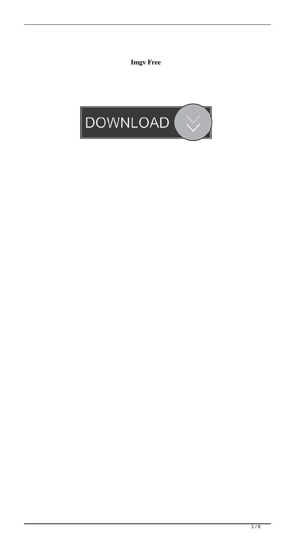**Imgv Free**

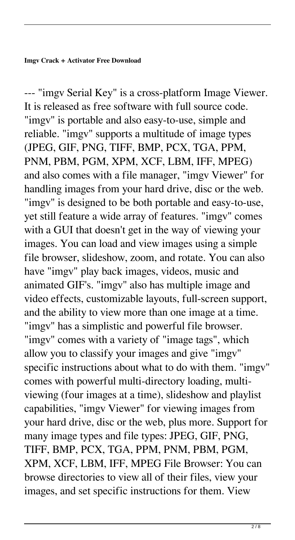--- "imgv Serial Key" is a cross-platform Image Viewer. It is released as free software with full source code. "imgv" is portable and also easy-to-use, simple and reliable. "imgv" supports a multitude of image types (JPEG, GIF, PNG, TIFF, BMP, PCX, TGA, PPM, PNM, PBM, PGM, XPM, XCF, LBM, IFF, MPEG) and also comes with a file manager, "imgv Viewer" for handling images from your hard drive, disc or the web. "imgv" is designed to be both portable and easy-to-use, yet still feature a wide array of features. "imgv" comes with a GUI that doesn't get in the way of viewing your images. You can load and view images using a simple file browser, slideshow, zoom, and rotate. You can also have "imgv" play back images, videos, music and animated GIF's. "imgv" also has multiple image and video effects, customizable layouts, full-screen support, and the ability to view more than one image at a time. "imgv" has a simplistic and powerful file browser. "imgv" comes with a variety of "image tags", which allow you to classify your images and give "imgv" specific instructions about what to do with them. "imgv" comes with powerful multi-directory loading, multiviewing (four images at a time), slideshow and playlist capabilities, "imgv Viewer" for viewing images from your hard drive, disc or the web, plus more. Support for many image types and file types: JPEG, GIF, PNG, TIFF, BMP, PCX, TGA, PPM, PNM, PBM, PGM, XPM, XCF, LBM, IFF, MPEG File Browser: You can browse directories to view all of their files, view your images, and set specific instructions for them. View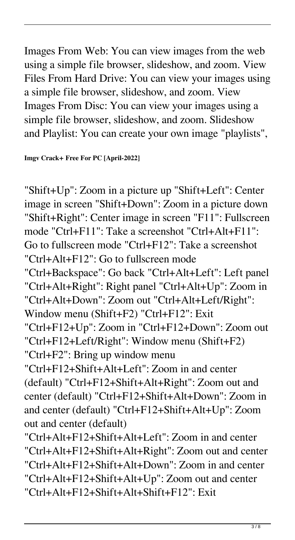Images From Web: You can view images from the web using a simple file browser, slideshow, and zoom. View Files From Hard Drive: You can view your images using a simple file browser, slideshow, and zoom. View Images From Disc: You can view your images using a simple file browser, slideshow, and zoom. Slideshow and Playlist: You can create your own image "playlists",

**Imgv Crack+ Free For PC [April-2022]**

"Shift+Up": Zoom in a picture up "Shift+Left": Center image in screen "Shift+Down": Zoom in a picture down "Shift+Right": Center image in screen "F11": Fullscreen mode "Ctrl+F11": Take a screenshot "Ctrl+Alt+F11": Go to fullscreen mode "Ctrl+F12": Take a screenshot "Ctrl+Alt+F12": Go to fullscreen mode "Ctrl+Backspace": Go back "Ctrl+Alt+Left": Left panel "Ctrl+Alt+Right": Right panel "Ctrl+Alt+Up": Zoom in "Ctrl+Alt+Down": Zoom out "Ctrl+Alt+Left/Right": Window menu (Shift+F2) "Ctrl+F12": Exit "Ctrl+F12+Up": Zoom in "Ctrl+F12+Down": Zoom out "Ctrl+F12+Left/Right": Window menu (Shift+F2) "Ctrl+F2": Bring up window menu "Ctrl+F12+Shift+Alt+Left": Zoom in and center (default) "Ctrl+F12+Shift+Alt+Right": Zoom out and center (default) "Ctrl+F12+Shift+Alt+Down": Zoom in and center (default) "Ctrl+F12+Shift+Alt+Up": Zoom out and center (default) "Ctrl+Alt+F12+Shift+Alt+Left": Zoom in and center "Ctrl+Alt+F12+Shift+Alt+Right": Zoom out and center "Ctrl+Alt+F12+Shift+Alt+Down": Zoom in and center

"Ctrl+Alt+F12+Shift+Alt+Up": Zoom out and center "Ctrl+Alt+F12+Shift+Alt+Shift+F12": Exit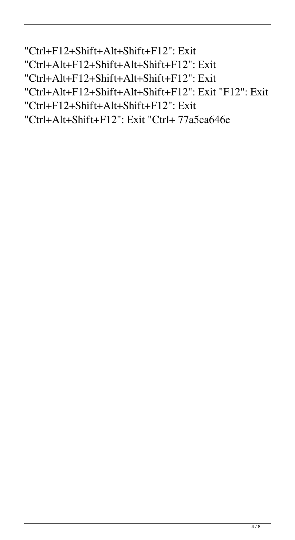"Ctrl+F12+Shift+Alt+Shift+F12": Exit "Ctrl+Alt+F12+Shift+Alt+Shift+F12": Exit "Ctrl+Alt+F12+Shift+Alt+Shift+F12": Exit "Ctrl+Alt+F12+Shift+Alt+Shift+F12": Exit "F12": Exit "Ctrl+F12+Shift+Alt+Shift+F12": Exit "Ctrl+Alt+Shift+F12": Exit "Ctrl+ 77a5ca646e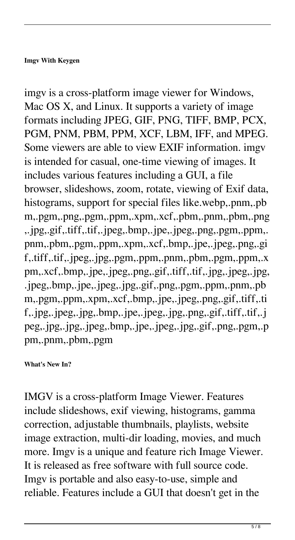## **Imgv With Keygen**

imgv is a cross-platform image viewer for Windows, Mac OS X, and Linux. It supports a variety of image formats including JPEG, GIF, PNG, TIFF, BMP, PCX, PGM, PNM, PBM, PPM, XCF, LBM, IFF, and MPEG. Some viewers are able to view EXIF information. imgv is intended for casual, one-time viewing of images. It includes various features including a GUI, a file browser, slideshows, zoom, rotate, viewing of Exif data, histograms, support for special files like.webp,.pnm,.pb m,.pgm,.png,.pgm,.ppm,.xpm,.xcf,.pbm,.pnm,.pbm,.png ,.jpg,.gif,.tiff,.tif,.jpeg,.bmp,.jpe,.jpeg,.png,.pgm,.ppm,. pnm,.pbm,.pgm,.ppm,.xpm,.xcf,.bmp,.jpe,.jpeg,.png,.gi f,.tiff,.tif,.jpeg,.jpg,.pgm,.ppm,.pnm,.pbm,.pgm,.ppm,.x pm,.xcf,.bmp,.jpe,.jpeg,.png,.gif,.tiff,.tif,.jpg,.jpeg,.jpg, .jpeg,.bmp,.jpe,.jpeg,.jpg,.gif,.png,.pgm,.ppm,.pnm,.pb m,.pgm,.ppm,.xpm,.xcf,.bmp,.jpe,.jpeg,.png,.gif,.tiff,.ti f,.jpg,.jpeg,.jpg,.bmp,.jpe,.jpeg,.jpg,.png,.gif,.tiff,.tif,.j peg,.jpg,.jpg,.jpeg,.bmp,.jpe,.jpeg,.jpg,.gif,.png,.pgm,.p pm,.pnm,.pbm,.pgm

## **What's New In?**

IMGV is a cross-platform Image Viewer. Features include slideshows, exif viewing, histograms, gamma correction, adjustable thumbnails, playlists, website image extraction, multi-dir loading, movies, and much more. Imgv is a unique and feature rich Image Viewer. It is released as free software with full source code. Imgv is portable and also easy-to-use, simple and reliable. Features include a GUI that doesn't get in the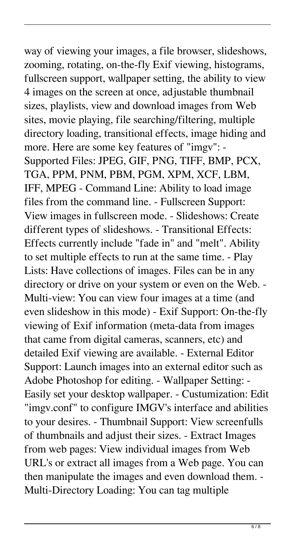way of viewing your images, a file browser, slideshows, zooming, rotating, on-the-fly Exif viewing, histograms, fullscreen support, wallpaper setting, the ability to view 4 images on the screen at once, adjustable thumbnail sizes, playlists, view and download images from Web sites, movie playing, file searching/filtering, multiple directory loading, transitional effects, image hiding and more. Here are some key features of "imgv": - Supported Files: JPEG, GIF, PNG, TIFF, BMP, PCX, TGA, PPM, PNM, PBM, PGM, XPM, XCF, LBM, IFF, MPEG - Command Line: Ability to load image files from the command line. - Fullscreen Support: View images in fullscreen mode. - Slideshows: Create different types of slideshows. - Transitional Effects: Effects currently include "fade in" and "melt". Ability to set multiple effects to run at the same time. - Play Lists: Have collections of images. Files can be in any directory or drive on your system or even on the Web. - Multi-view: You can view four images at a time (and even slideshow in this mode) - Exif Support: On-the-fly viewing of Exif information (meta-data from images that came from digital cameras, scanners, etc) and detailed Exif viewing are available. - External Editor Support: Launch images into an external editor such as Adobe Photoshop for editing. - Wallpaper Setting: - Easily set your desktop wallpaper. - Custumization: Edit "imgv.conf" to configure IMGV's interface and abilities to your desires. - Thumbnail Support: View screenfulls of thumbnails and adjust their sizes. - Extract Images from web pages: View individual images from Web URL's or extract all images from a Web page. You can then manipulate the images and even download them. - Multi-Directory Loading: You can tag multiple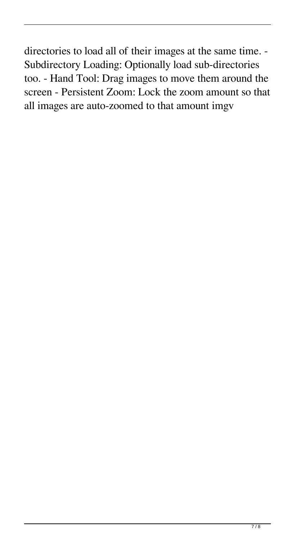directories to load all of their images at the same time. - Subdirectory Loading: Optionally load sub-directories too. - Hand Tool: Drag images to move them around the screen - Persistent Zoom: Lock the zoom amount so that all images are auto-zoomed to that amount imgv